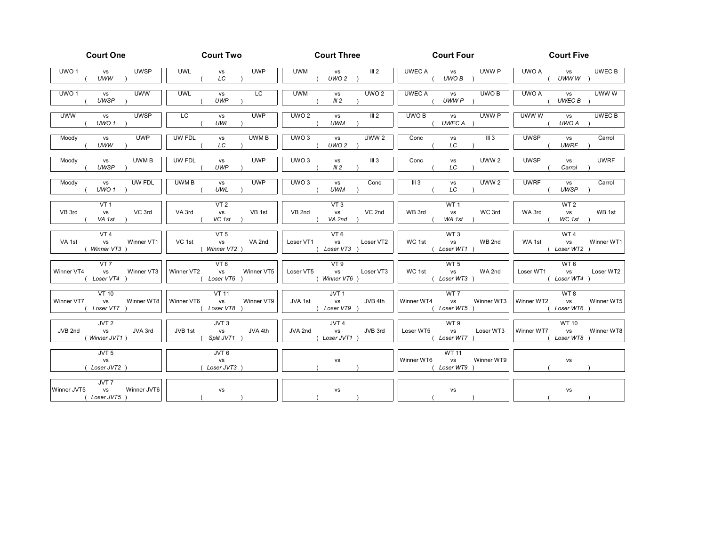| <b>Court One</b>                                                            | <b>Court Two</b>          | <b>Court Three</b> | <b>Court Four</b>                                    | <b>Court Five</b> |  |  |
|-----------------------------------------------------------------------------|---------------------------|--------------------|------------------------------------------------------|-------------------|--|--|
| UWO <sub>1</sub>                                                            | <b>UWL</b>                | <b>UWM</b>         | <b>UWEC A</b>                                        | UWO A             |  |  |
| <b>UWSP</b>                                                                 | <b>UWP</b>                | III <sub>2</sub>   | UWW P                                                | UWEC B            |  |  |
| <b>VS</b>                                                                   | vs                        | vs                 | <b>VS</b>                                            | vs                |  |  |
| UWW                                                                         | LC                        | UWO <sub>2</sub>   | UWO B                                                | UWW W             |  |  |
| UWO <sub>1</sub>                                                            | LC                        | <b>UWM</b>         | <b>UWEC A</b>                                        | UWW W             |  |  |
| <b>UWW</b>                                                                  | <b>UWL</b>                | UWO <sub>2</sub>   | UWO B                                                | UWO A             |  |  |
| vs                                                                          | vs                        | vs                 | vs                                                   | vs                |  |  |
| <b>UWSP</b>                                                                 | <b>UWP</b>                | III <sub>2</sub>   | UWW P                                                | UWEC B            |  |  |
| <b>UWW</b>                                                                  | LC                        | UWO2               | UWO B                                                | UWW W             |  |  |
| <b>UWSP</b>                                                                 | <b>UWP</b>                | III <sub>2</sub>   | UWW P                                                | <b>UWEC B</b>     |  |  |
| <b>VS</b>                                                                   | vs                        | <b>VS</b>          | <b>VS</b>                                            | vs                |  |  |
| UWO <sub>1</sub>                                                            | UWL                       | <b>UWM</b>         | UWEC A                                               | UWO A             |  |  |
| <b>UWP</b>                                                                  | UWM B                     | UWO3               | Conc                                                 | <b>UWSP</b>       |  |  |
| Moody                                                                       | <b>UW FDL</b>             | UWW <sub>2</sub>   | III3                                                 | Carrol            |  |  |
| vs                                                                          | vs                        | vs                 | <b>VS</b>                                            | vs                |  |  |
| <b>UWW</b>                                                                  | LC                        | UWO <sub>2</sub>   | LC                                                   | <b>UWRF</b>       |  |  |
| UWM B                                                                       | UW FDL                    | UWO3               | UWW <sub>2</sub>                                     | <b>UWSP</b>       |  |  |
| Moody                                                                       | <b>UWP</b>                | III <sub>3</sub>   | Conc                                                 | <b>UWRF</b>       |  |  |
| vs                                                                          | vs                        | <b>VS</b>          | <b>VS</b>                                            | vs                |  |  |
| <b>UWSP</b>                                                                 | <b>UWP</b>                | III <sub>2</sub>   | LC                                                   | Carrol            |  |  |
| Moody                                                                       | UWM B                     | UWO3               | III <sub>3</sub>                                     | <b>UWRF</b>       |  |  |
| <b>UW FDL</b>                                                               | <b>UWP</b>                | Conc               | <b>UWW 2</b>                                         | Carrol            |  |  |
| vs                                                                          | vs                        | vs                 | <b>VS</b>                                            | vs                |  |  |
| UWO <sub>1</sub>                                                            | UWL                       | <b>UWM</b>         | LC                                                   | <b>UWSP</b>       |  |  |
| VT 1                                                                        | VT 2                      | VT3                | WT <sub>1</sub>                                      | WT 2              |  |  |
| VB 3rd                                                                      | VA 3rd                    | VB 2nd             | WB 3rd                                               | WA 3rd            |  |  |
| VC 3rd                                                                      | VB <sub>1st</sub>         | VC 2nd             | WC 3rd                                               | WB 1st            |  |  |
| vs                                                                          | <b>VS</b>                 | vs                 | vs                                                   | vs                |  |  |
| VA 1st                                                                      | VC 1st                    | VA 2nd             | WA 1st                                               | WC 1st            |  |  |
| VT 4                                                                        | VT 5                      | VT 6               | WT 3                                                 | WT 4              |  |  |
| VA 1st                                                                      | VC 1st                    | Loser VT1          | WC 1st                                               | Winner WT1        |  |  |
| <b>VS</b>                                                                   | VA 2nd                    | vs                 | vs                                                   | WA 1st            |  |  |
| Winner VT1                                                                  | vs                        | Loser VT2          | WB 2nd                                               | vs                |  |  |
| Winner VT3                                                                  | Winner VT2 )              | Loser VT3          | Loser WT1                                            | Loser WT2         |  |  |
| VT 7                                                                        | VT 8                      | VT9                | WT 5                                                 | WT <sub>6</sub>   |  |  |
| Winner VT4                                                                  | Winner VT2                | Loser VT5          | WC 1st                                               | Loser WT2         |  |  |
| vs                                                                          | Winner VT5                | vs                 | WA 2nd                                               | Loser WT1         |  |  |
| Winner VT3                                                                  | <b>VS</b>                 | Loser VT3          | <b>VS</b>                                            | vs                |  |  |
| Loser VT4                                                                   | Loser VT6                 | (Winner VT6)       | Loser WT3 )                                          | (Loser WT4        |  |  |
| VT 10                                                                       | VT 11                     | JVT 1              | WT 7                                                 | WT 8              |  |  |
| Winner VT7                                                                  | Winner VT6                | JVA 1st            | Winner WT4                                           | Winner WT2        |  |  |
| vs                                                                          | <b>VS</b>                 | JVB 4th            | Winner WT3                                           | Winner WT5        |  |  |
| Winner WT8                                                                  | Winner VT9                | <b>VS</b>          | vs                                                   | <b>vs</b>         |  |  |
| Loser VT7                                                                   | Loser VT8                 | Loser VT9          | Loser WT5                                            | (Loser WT6        |  |  |
| JVT <sub>2</sub>                                                            | JVT <sub>3</sub>          | JVT4               | WT 9                                                 | <b>WT 10</b>      |  |  |
| JVB 2nd                                                                     | JVB 1st                   | JVA 2nd            | Loser WT5                                            | Winner WT8        |  |  |
| JVA 3rd                                                                     | JVA 4th                   | vs                 | Loser WT3                                            | Winner WT7        |  |  |
| <b>VS</b>                                                                   | vs                        | JVB 3rd            | vs                                                   | vs                |  |  |
| (Winner JVT1)                                                               | Split JVT1                | Loser JVT1)        | Loser WT7                                            | (Loser WT8        |  |  |
| JVT 5                                                                       | JVT 6                     |                    | <b>WT 11</b>                                         |                   |  |  |
| <b>VS</b><br>Loser JVT2 )                                                   | <b>VS</b><br>Loser JVT3 ) | <b>VS</b>          | Winner WT6<br><b>VS</b><br>Winner WT9<br>Loser WT9 ) | vs                |  |  |
| JVT <sub>7</sub><br>Winner JVT5<br><b>VS</b><br>Winner JVT6<br>(Loser JVT5) | <b>VS</b>                 | vs                 | <b>VS</b>                                            | vs                |  |  |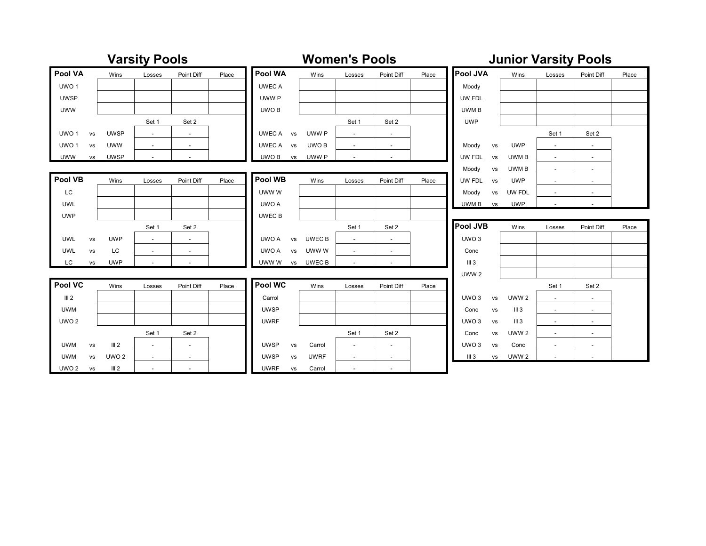| <b>Varsity Pools</b> |           |                  |                          |                          |       | <b>Women's Pools</b> |                          |                          |                          | <b>Junior Varsity Pools</b> |                        |                  |        |                          |       |
|----------------------|-----------|------------------|--------------------------|--------------------------|-------|----------------------|--------------------------|--------------------------|--------------------------|-----------------------------|------------------------|------------------|--------|--------------------------|-------|
| Pool VA              |           | Wins             | Losses                   | Point Diff               | Place | Pool WA              | Wins                     | Losses                   | Point Diff               | Place                       | <b>Pool JVA</b>        | Wins             | Losses | Point Diff               | Place |
| UWO <sub>1</sub>     |           |                  |                          |                          |       | <b>UWEC A</b>        |                          |                          |                          |                             | Moody                  |                  |        |                          |       |
| <b>UWSP</b>          |           |                  |                          |                          |       | UWW P                |                          |                          |                          |                             | UW FDL                 |                  |        |                          |       |
| <b>UWW</b>           |           |                  |                          |                          |       | UWO B                |                          |                          |                          |                             | UWM B                  |                  |        |                          |       |
|                      |           |                  | Set 1                    | Set 2                    |       |                      |                          | Set 1                    | Set 2                    |                             | <b>UWP</b>             |                  |        |                          |       |
| UWO <sub>1</sub>     | <b>VS</b> | <b>UWSP</b>      | $\sim$                   | $\overline{\phantom{a}}$ |       | UWEC A               | UWW P<br><b>VS</b>       | $\sim$                   | $\overline{\phantom{a}}$ |                             |                        |                  | Set 1  | Set 2                    |       |
| UWO <sub>1</sub>     | vs        | <b>UWW</b>       | $\overline{\phantom{a}}$ | $\overline{\phantom{a}}$ |       | UWEC A               | UWO B<br>vs              | $\overline{\phantom{a}}$ | $\overline{\phantom{a}}$ |                             | Moody<br>vs            | <b>UWP</b>       | $\sim$ | $\overline{\phantom{a}}$ |       |
| <b>UWW</b>           | vs        | <b>UWSP</b>      | $\sim$                   | $\overline{\phantom{a}}$ |       | UWO B                | UWW P<br>vs              | $\sim$                   | $\overline{\phantom{a}}$ |                             | UW FDL<br>vs           | UWM B            | $\sim$ | $\sim$                   |       |
|                      |           |                  |                          |                          |       |                      |                          |                          |                          |                             | Moody<br>vs            | UWM B            | $\sim$ | $\overline{\phantom{a}}$ |       |
| Pool VB              |           | Wins             | Losses                   | Point Diff               | Place | Pool WB              | Wins                     | Losses                   | Point Diff               | Place                       | UW FDL<br>vs           | <b>UWP</b>       | $\sim$ | $\overline{\phantom{a}}$ |       |
| LC                   |           |                  |                          |                          |       | UWW W                |                          |                          |                          |                             | Moody<br>vs            | UW FDL           | $\sim$ | $\overline{\phantom{a}}$ |       |
| UWL                  |           |                  |                          |                          |       | UWO A                |                          |                          |                          |                             | UWM B<br>vs            | <b>UWP</b>       | $\sim$ | $\overline{\phantom{a}}$ |       |
| <b>UWP</b>           |           |                  |                          |                          |       | UWEC B               |                          |                          |                          |                             |                        |                  |        |                          |       |
|                      |           |                  | Set 1                    | Set 2                    |       |                      |                          | Set 1                    | Set 2                    |                             | <b>Pool JVB</b>        | Wins             | Losses | Point Diff               | Place |
| <b>UWL</b>           | <b>VS</b> | <b>UWP</b>       | $\overline{\phantom{a}}$ | $\overline{\phantom{a}}$ |       | UWO A                | UWEC B<br>vs             | $\overline{\phantom{a}}$ | $\overline{\phantom{a}}$ |                             | UWO <sub>3</sub>       |                  |        |                          |       |
| <b>UWL</b>           | vs        | LC               | $\overline{\phantom{a}}$ | $\overline{\phantom{a}}$ |       | UWO A                | UWW W<br><b>VS</b>       | $\sim$                   | $\overline{\phantom{a}}$ |                             | Conc                   |                  |        |                          |       |
| LC.                  | <b>VS</b> | <b>UWP</b>       |                          |                          |       | UWW W                | UWEC B<br>vs             | $\overline{\phantom{a}}$ |                          |                             | III <sub>3</sub>       |                  |        |                          |       |
|                      |           |                  |                          |                          |       |                      |                          |                          |                          |                             | UWW <sub>2</sub>       |                  |        |                          |       |
| Pool VC              |           | Wins             | Losses                   | Point Diff               | Place | Pool WC              | Wins                     | Losses                   | Point Diff               | Place                       |                        |                  | Set 1  | Set 2                    |       |
| III <sub>2</sub>     |           |                  |                          |                          |       | Carrol               |                          |                          |                          |                             | UWO <sub>3</sub><br>vs | UWW <sub>2</sub> | $\sim$ | $\sim$                   |       |
| <b>UWM</b>           |           |                  |                          |                          |       | <b>UWSP</b>          |                          |                          |                          |                             | Conc<br>vs             | III <sub>3</sub> | $\sim$ | $\sim$                   |       |
| UWO <sub>2</sub>     |           |                  |                          |                          |       | <b>UWRF</b>          |                          |                          |                          |                             | UWO <sub>3</sub><br>vs | III <sub>3</sub> | $\sim$ | $\overline{\phantom{a}}$ |       |
|                      |           |                  | Set 1                    | Set 2                    |       |                      |                          | Set 1                    | Set 2                    |                             | Conc<br>vs             | UWW <sub>2</sub> | $\sim$ | $\overline{\phantom{a}}$ |       |
| UWM                  | vs        | III <sub>2</sub> | $\overline{\phantom{a}}$ | $\sim$                   |       | <b>UWSP</b>          | Carrol<br>vs             | $\sim$                   | $\sim$                   |                             | UWO <sub>3</sub><br>vs | Conc             | $\sim$ | $\overline{\phantom{a}}$ |       |
| UWM                  | vs        | UWO <sub>2</sub> | $\overline{\phantom{a}}$ | $\overline{\phantom{a}}$ |       | <b>UWSP</b>          | <b>UWRF</b><br><b>VS</b> | $\overline{\phantom{a}}$ | $\overline{\phantom{0}}$ |                             | III <sub>3</sub><br>vs | UWW <sub>2</sub> |        | $\overline{\phantom{a}}$ |       |
| UWO <sub>2</sub>     | vs        | III <sub>2</sub> | $\sim$                   | $\overline{\phantom{a}}$ |       | <b>UWRF</b>          | Carrol<br>vs             | $\sim$                   | $\overline{\phantom{a}}$ |                             |                        |                  |        |                          |       |